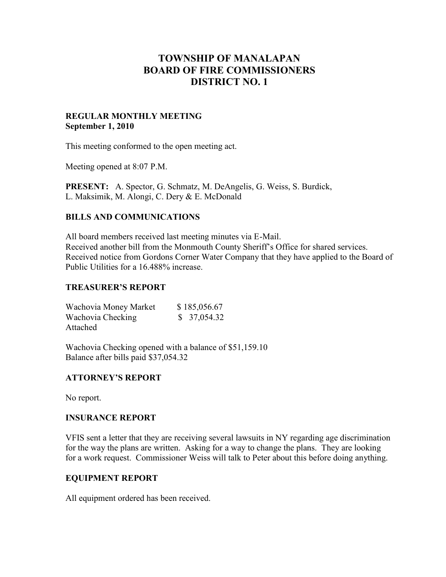# **TOWNSHIP OF MANALAPAN BOARD OF FIRE COMMISSIONERS DISTRICT NO. 1**

# **REGULAR MONTHLY MEETING September 1, 2010**

This meeting conformed to the open meeting act.

Meeting opened at 8:07 P.M.

**PRESENT:** A. Spector, G. Schmatz, M. DeAngelis, G. Weiss, S. Burdick, L. Maksimik, M. Alongi, C. Dery & E. McDonald

# **BILLS AND COMMUNICATIONS**

All board members received last meeting minutes via E-Mail. Received another bill from the Monmouth County Sheriff's Office for shared services. Received notice from Gordons Corner Water Company that they have applied to the Board of Public Utilities for a 16.488% increase.

### **TREASURER'S REPORT**

| Wachovia Money Market | \$185,056.67 |
|-----------------------|--------------|
| Wachovia Checking     | \$37,054.32  |
| Attached              |              |

Wachovia Checking opened with a balance of \$51,159.10 Balance after bills paid \$37,054.32

### **ATTORNEY'S REPORT**

No report.

### **INSURANCE REPORT**

VFIS sent a letter that they are receiving several lawsuits in NY regarding age discrimination for the way the plans are written. Asking for a way to change the plans. They are looking for a work request. Commissioner Weiss will talk to Peter about this before doing anything.

## **EQUIPMENT REPORT**

All equipment ordered has been received.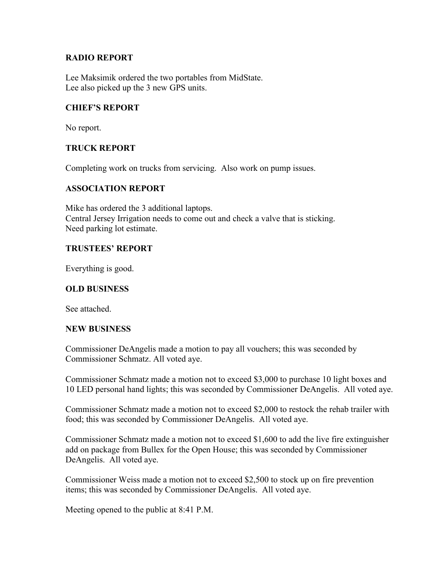# **RADIO REPORT**

Lee Maksimik ordered the two portables from MidState. Lee also picked up the 3 new GPS units.

# **CHIEF'S REPORT**

No report.

# **TRUCK REPORT**

Completing work on trucks from servicing. Also work on pump issues.

# **ASSOCIATION REPORT**

Mike has ordered the 3 additional laptops. Central Jersey Irrigation needs to come out and check a valve that is sticking. Need parking lot estimate.

# **TRUSTEES' REPORT**

Everything is good.

# **OLD BUSINESS**

See attached.

### **NEW BUSINESS**

Commissioner DeAngelis made a motion to pay all vouchers; this was seconded by Commissioner Schmatz. All voted aye.

Commissioner Schmatz made a motion not to exceed \$3,000 to purchase 10 light boxes and 10 LED personal hand lights; this was seconded by Commissioner DeAngelis. All voted aye.

Commissioner Schmatz made a motion not to exceed \$2,000 to restock the rehab trailer with food; this was seconded by Commissioner DeAngelis. All voted aye.

Commissioner Schmatz made a motion not to exceed \$1,600 to add the live fire extinguisher add on package from Bullex for the Open House; this was seconded by Commissioner DeAngelis. All voted aye.

Commissioner Weiss made a motion not to exceed \$2,500 to stock up on fire prevention items; this was seconded by Commissioner DeAngelis. All voted aye.

Meeting opened to the public at 8:41 P.M.